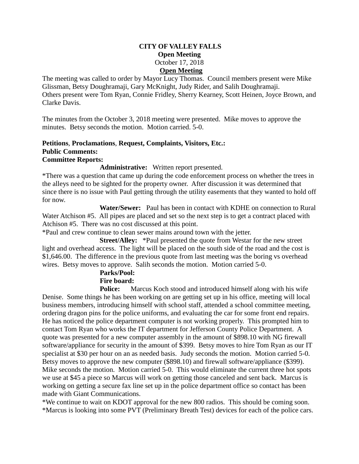#### **CITY OF VALLEY FALLS Open Meeting** October 17, 2018 **Open Meeting**

The meeting was called to order by Mayor Lucy Thomas. Council members present were Mike Glissman, Betsy Doughramaji, Gary McKnight, Judy Rider, and Salih Doughramaji. Others present were Tom Ryan, Connie Fridley, Sherry Kearney, Scott Heinen, Joyce Brown, and Clarke Davis.

The minutes from the October 3, 2018 meeting were presented. Mike moves to approve the minutes. Betsy seconds the motion. Motion carried. 5-0.

#### **Petitions**, **Proclamations**, **Request, Complaints, Visitors, Etc.: Public Comments: Committee Reports:**

#### **Administrative:** Written report presented.

\*There was a question that came up during the code enforcement process on whether the trees in the alleys need to be sighted for the property owner. After discussion it was determined that since there is no issue with Paul getting through the utility easements that they wanted to hold off for now.

 **Water/Sewer:** Paul has been in contact with KDHE on connection to Rural Water Atchison #5. All pipes are placed and set so the next step is to get a contract placed with Atchison #5. There was no cost discussed at this point.

\*Paul and crew continue to clean sewer mains around town with the jetter.

 **Street/Alley:** \*Paul presented the quote from Westar for the new street light and overhead access. The light will be placed on the south side of the road and the cost is \$1,646.00. The difference in the previous quote from last meeting was the boring vs overhead wires. Betsy moves to approve. Salih seconds the motion. Motion carried 5-0.

# **Parks/Pool:**

## **Fire board:**

**Police:** Marcus Koch stood and introduced himself along with his wife Denise. Some things he has been working on are getting set up in his office, meeting will local business members, introducing himself with school staff, attended a school committee meeting, ordering dragon pins for the police uniforms, and evaluating the car for some front end repairs. He has noticed the police department computer is not working properly. This prompted him to contact Tom Ryan who works the IT department for Jefferson County Police Department. A quote was presented for a new computer assembly in the amount of \$898.10 with NG firewall software/appliance for security in the amount of \$399. Betsy moves to hire Tom Ryan as our IT specialist at \$30 per hour on an as needed basis. Judy seconds the motion. Motion carried 5-0. Betsy moves to approve the new computer (\$898.10) and firewall software/appliance (\$399). Mike seconds the motion. Motion carried 5-0. This would eliminate the current three hot spots we use at \$45 a piece so Marcus will work on getting those canceled and sent back. Marcus is working on getting a secure fax line set up in the police department office so contact has been made with Giant Communications.

\*We continue to wait on KDOT approval for the new 800 radios. This should be coming soon. \*Marcus is looking into some PVT (Preliminary Breath Test) devices for each of the police cars.